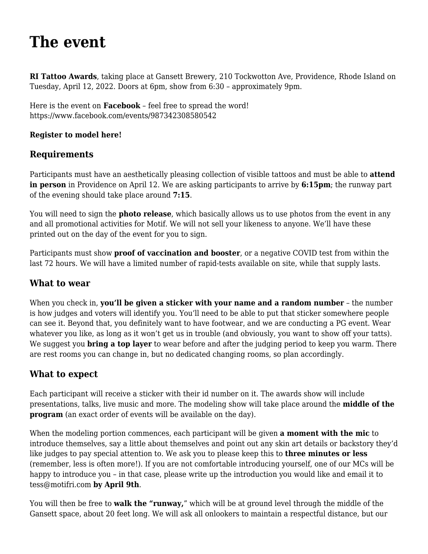# **[The event](https://motifri.com/2022-tattoo-model-rules/)**

**RI Tattoo Awards**, taking place at Gansett Brewery, 210 Tockwotton Ave, Providence, Rhode Island on Tuesday, April 12, 2022. Doors at 6pm, show from 6:30 – approximately 9pm.

Here is the event on **Facebook** – feel free to spread the word! <https://www.facebook.com/events/987342308580542>

#### **[Register to model here!](https://docs.google.com/forms/d/e/1FAIpQLSdLdHVf4LEaDDuykjWxGIZV6CvrpZdpYV5UI0Nh02Wfyebzxg/viewform?vc=0&c=0&w=1&flr=0)**

## **Requirements**

Participants must have an aesthetically pleasing collection of visible tattoos and must be able to **attend in person** in Providence on April 12. We are asking participants to arrive by **6:15pm**; the runway part of the evening should take place around **7:15**.

You will need to sign the **[photo release](https://motifri.com/talent-release-form/)**, which basically allows us to use photos from the event in any and all promotional activities for Motif. We will not sell your likeness to anyone. We'll have these printed out on the day of the event for you to sign.

Participants must show **proof of vaccination and booster**, or a negative COVID test from within the last 72 hours. We will have a limited number of rapid-tests available on site, while that supply lasts.

## **What to wear**

When you check in, **you'll be given a sticker with your name and a random number** – the number is how judges and voters will identify you. You'll need to be able to put that sticker somewhere people can see it. Beyond that, you definitely want to have footwear, and we are conducting a PG event. Wear whatever you like, as long as it won't get us in trouble (and obviously, you want to show off your tatts). We suggest you **bring a top layer** to wear before and after the judging period to keep you warm. There are rest rooms you can change in, but no dedicated changing rooms, so plan accordingly.

## **What to expect**

Each participant will receive a sticker with their id number on it. The awards show will include presentations, talks, live music and more. The modeling show will take place around the **middle of the program** (an exact order of events will be available on the day).

When the modeling portion commences, each participant will be given **a moment with the mic** to introduce themselves, say a little about themselves and point out any skin art details or backstory they'd like judges to pay special attention to. We ask you to please keep this to **three minutes or less** (remember, less is often more!). If you are not comfortable introducing yourself, one of our MCs will be happy to introduce you – in that case, please write up the introduction you would like and email it to [tess@motifri.com](mailto:tess@motifri.com) **by April 9th**.

You will then be free to **walk the "runway,**" which will be at ground level through the middle of the Gansett space, about 20 feet long. We will ask all onlookers to maintain a respectful distance, but our